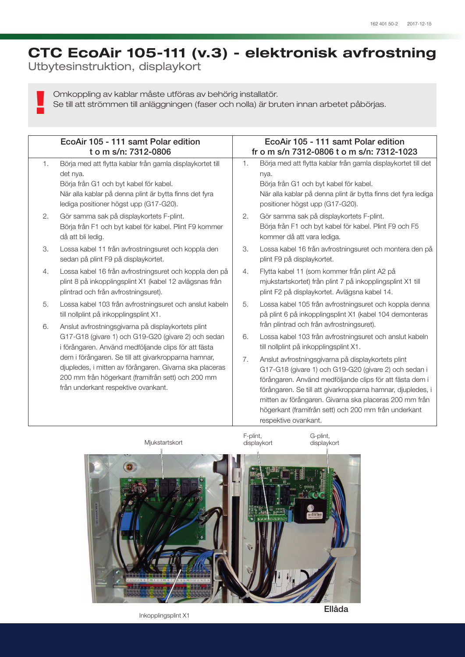## CTC EcoAir 105-111 (v.3) - elektronisk avfrostning

Utbytesinstruktion, displaykort

!

Omkoppling av kablar måste utföras av behörig installatör.

Se till att strömmen till anläggningen (faser och nolla) är bruten innan arbetet påbörjas.

|    | EcoAir 105 - 111 samt Polar edition<br>t o m s/n: 7312-0806                                                                                                                                                                                                                                                                                                                      |          | EcoAir 105 - 111 samt Polar edition<br>fr o m s/n 7312-0806 t o m s/n: 7312-1023                                                                                                                                                                                                                                                                                                                                                                   |  |
|----|----------------------------------------------------------------------------------------------------------------------------------------------------------------------------------------------------------------------------------------------------------------------------------------------------------------------------------------------------------------------------------|----------|----------------------------------------------------------------------------------------------------------------------------------------------------------------------------------------------------------------------------------------------------------------------------------------------------------------------------------------------------------------------------------------------------------------------------------------------------|--|
| 1. | Börja med att flytta kablar från gamla displaykortet till<br>det nya.<br>Börja från G1 och byt kabel för kabel.<br>När alla kablar på denna plint är bytta finns det fyra<br>lediga positioner högst upp (G17-G20).                                                                                                                                                              | 1.       | Börja med att flytta kablar från gamla displaykortet till det<br>nya.<br>Börja från G1 och byt kabel för kabel.<br>När alla kablar på denna plint är bytta finns det fyra lediga<br>positioner högst upp (G17-G20).                                                                                                                                                                                                                                |  |
| 2. | Gör samma sak på displaykortets F-plint.<br>Börja från F1 och byt kabel för kabel. Plint F9 kommer<br>då att bli ledig.                                                                                                                                                                                                                                                          | 2.       | Gör samma sak på displaykortets F-plint.<br>Börja från F1 och byt kabel för kabel. Plint F9 och F5<br>kommer då att vara lediga.                                                                                                                                                                                                                                                                                                                   |  |
| 3. | Lossa kabel 11 från avfrostningsuret och koppla den<br>sedan på plint F9 på displaykortet.                                                                                                                                                                                                                                                                                       | 3.       | Lossa kabel 16 från avfrostningsuret och montera den på<br>plint F9 på displaykortet.                                                                                                                                                                                                                                                                                                                                                              |  |
| 4. | Lossa kabel 16 från avfrostningsuret och koppla den på<br>plint 8 på inkopplingsplint X1 (kabel 12 avlägsnas från<br>plintrad och från avfrostningsuret).                                                                                                                                                                                                                        | 4.       | Flytta kabel 11 (som kommer från plint A2 på<br>mjukstartskortet) från plint 7 på inkopplingsplint X1 till<br>plint F2 på displaykortet. Avlägsna kabel 14.                                                                                                                                                                                                                                                                                        |  |
| 5. | Lossa kabel 103 från avfrostningsuret och anslut kabeln<br>till nollplint på inkopplingsplint X1.                                                                                                                                                                                                                                                                                | 5.       | Lossa kabel 105 från avfrostningsuret och koppla denna<br>på plint 6 på inkopplingsplint X1 (kabel 104 demonteras                                                                                                                                                                                                                                                                                                                                  |  |
| 6. | Anslut avfrostningsgivarna på displaykortets plint<br>G17-G18 (givare 1) och G19-G20 (givare 2) och sedan<br>i förångaren. Använd medföljande clips för att fästa<br>dem i förångaren. Se till att givarkropparna hamnar,<br>djupledes, i mitten av förångaren. Givarna ska placeras<br>200 mm från högerkant (framifrån sett) och 200 mm<br>från underkant respektive ovankant. | 6.<br>7. | från plintrad och från avfrostningsuret).<br>Lossa kabel 103 från avfrostningsuret och anslut kabeln<br>till nollplint på inkopplingsplint X1.<br>Anslut avfrostningsgivarna på displaykortets plint<br>G17-G18 (givare 1) och G19-G20 (givare 2) och sedan i<br>förångaren. Använd medföljande clips för att fästa dem i<br>förångaren. Se till att givarkropparna hamnar, djupledes, i<br>mitten av förångaren. Givarna ska placeras 200 mm från |  |
|    |                                                                                                                                                                                                                                                                                                                                                                                  |          | högerkant (framifrån sett) och 200 mm från underkant<br>respektive ovankant.                                                                                                                                                                                                                                                                                                                                                                       |  |



Inkopplingsplint X1